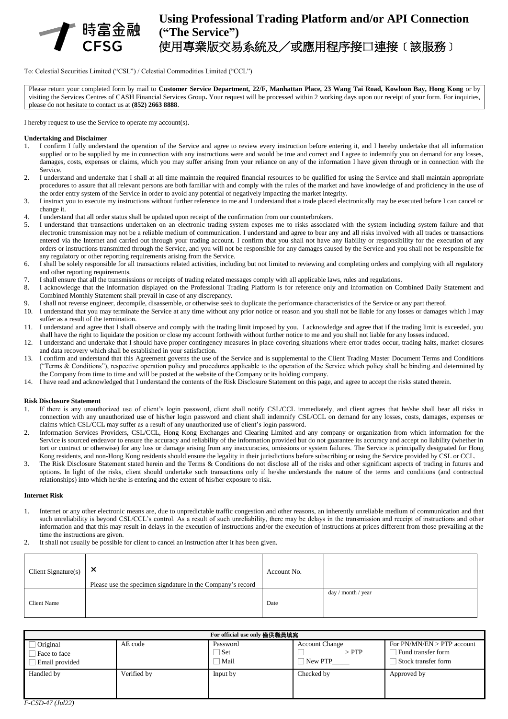

# **Using Professional Trading Platform and/or API Connection ("The Service")** 使用專業版交易系統及/或應用程序接口連接﹝該服務﹞

To: Celestial Securities Limited ("CSL") / Celestial Commodities Limited ("CCL")

Please return your completed form by mail to **Customer Service Department, 22/F, Manhattan Place, 23 Wang Tai Road, Kowloon Bay, Hong Kong** or by visiting the Services Centres of CASH Financial Services Group**.** Your request will be processed within 2 working days upon our receipt of your form. For inquiries, please do not hesitate to contact us at **(852) 2663 8888**.

I hereby request to use the Service to operate my account(s).

#### **Undertaking and Disclaimer**

- 1. I confirm I fully understand the operation of the Service and agree to review every instruction before entering it, and I hereby undertake that all information supplied or to be supplied by me in connection with any instructions were and would be true and correct and I agree to indemnify you on demand for any losses, damages, costs, expenses or claims, which you may suffer arising from your reliance on any of the information I have given through or in connection with the Service.
- 2. I understand and undertake that I shall at all time maintain the required financial resources to be qualified for using the Service and shall maintain appropriate procedures to assure that all relevant persons are both familiar with and comply with the rules of the market and have knowledge of and proficiency in the use of the order entry system of the Service in order to avoid any potential of negatively impacting the market integrity.
- 3. I instruct you to execute my instructions without further reference to me and I understand that a trade placed electronically may be executed before I can cancel or change it.
- 4. I understand that all order status shall be updated upon receipt of the confirmation from our counterbrokers.
- 5. I understand that transactions undertaken on an electronic trading system exposes me to risks associated with the system including system failure and that electronic transmission may not be a reliable medium of communication. I understand and agree to bear any and all risks involved with all trades or transactions entered via the Internet and carried out through your trading account. I confirm that you shall not have any liability or responsibility for the execution of any orders or instructions transmitted through the Service, and you will not be responsible for any damages caused by the Service and you shall not be responsible for any regulatory or other reporting requirements arising from the Service.
- 6. I shall be solely responsible for all transactions related activities, including but not limited to reviewing and completing orders and complying with all regulatory and other reporting requirements.
- 7. I shall ensure that all the transmissions or receipts of trading related messages comply with all applicable laws, rules and regulations.
- 8. I acknowledge that the information displayed on the Professional Trading Platform is for reference only and information on Combined Daily Statement and Combined Monthly Statement shall prevail in case of any discrepancy.
- 9. I shall not reverse engineer, decompile, disassemble, or otherwise seek to duplicate the performance characteristics of the Service or any part thereof.
- 10. I understand that you may terminate the Service at any time without any prior notice or reason and you shall not be liable for any losses or damages which I may suffer as a result of the termination.
- 11. I understand and agree that I shall observe and comply with the trading limit imposed by you. I acknowledge and agree that if the trading limit is exceeded, you shall have the right to liquidate the position or close my account forthwith without further notice to me and you shall not liable for any losses induced.
- 12. I understand and undertake that I should have proper contingency measures in place covering situations where error trades occur, trading halts, market closures and data recovery which shall be established in your satisfaction.
- 13. I confirm and understand that this Agreement governs the use of the Service and is supplemental to the Client Trading Master Document Terms and Conditions ("Terms & Conditions"), respective operation policy and procedures applicable to the operation of the Service which policy shall be binding and determined by the Company from time to time and will be posted at the website of the Company or its holding company.
- 14. I have read and acknowledged that I understand the contents of the Risk Disclosure Statement on this page, and agree to accept the risks stated therein.

#### **Risk Disclosure Statement**

- 1. If there is any unauthorized use of client's login password, client shall notify CSL/CCL immediately, and client agrees that he/she shall bear all risks in connection with any unauthorized use of his/her login password and client shall indemnify CSL/CCL on demand for any losses, costs, damages, expenses or claims which CSL/CCL may suffer as a result of any unauthorized use of client's login password.
- 2. Information Services Providers, CSL/CCL, Hong Kong Exchanges and Clearing Limited and any company or organization from which information for the Service is sourced endeavor to ensure the accuracy and reliability of the information provided but do not guarantee its accuracy and accept no liability (whether in tort or contract or otherwise) for any loss or damage arising from any inaccuracies, omissions or system failures. The Service is principally designated for Hong Kong residents, and non-Hong Kong residents should ensure the legality in their jurisdictions before subscribing or using the Service provided by CSL or CCL.
- 3. The Risk Disclosure Statement stated herein and the Terms & Conditions do not disclose all of the risks and other significant aspects of trading in futures and options. In light of the risks, client should undertake such transactions only if he/she understands the nature of the terms and conditions (and contractual relationships) into which he/she is entering and the extent of his/her exposure to risk.

#### **Internet Risk**

- 1. Internet or any other electronic means are, due to unpredictable traffic congestion and other reasons, an inherently unreliable medium of communication and that such unreliability is beyond CSL/CCL's control. As a result of such unreliability, there may be delays in the transmission and receipt of instructions and other information and that this may result in delays in the execution of instructions and/or the execution of instructions at prices different from those prevailing at the time the instructions are given.
- 2. It shall not usually be possible for client to cancel an instruction after it has been given.

| Client Signature(s) $\vert$ | $\times$<br>Please use the specimen signdature in the Company's record | Account No. |                    |
|-----------------------------|------------------------------------------------------------------------|-------------|--------------------|
| Client Name                 |                                                                        | Date        | day / month / year |

| For official use only 僅供職員填寫               |             |                                   |                                                           |                                                                           |  |  |  |
|--------------------------------------------|-------------|-----------------------------------|-----------------------------------------------------------|---------------------------------------------------------------------------|--|--|--|
| Original<br>Face to face<br>Email provided | AE code     | Password<br>$\exists$ Set<br>Mail | <b>Account Change</b><br>$>$ PTP $\,$<br>$\sqcap$ New PTP | For $PN/MN/EN > PTP$ account<br>Fund transfer form<br>Stock transfer form |  |  |  |
| Handled by                                 | Verified by | Input by                          | Checked by                                                | Approved by                                                               |  |  |  |